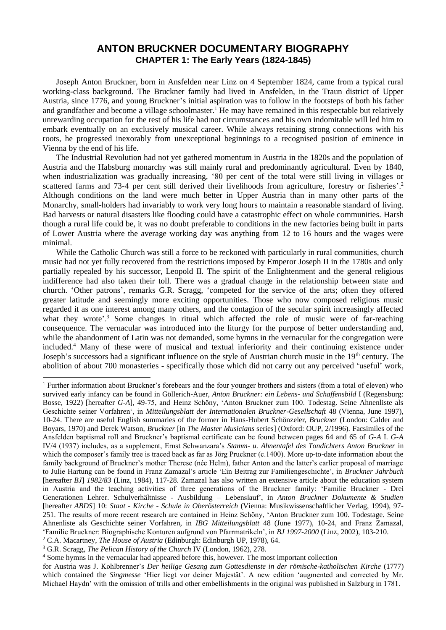## **ANTON BRUCKNER DOCUMENTARY BIOGRAPHY CHAPTER 1: The Early Years (1824-1845)**

Joseph Anton Bruckner, born in Ansfelden near Linz on 4 September 1824, came from a typical rural working-class background. The Bruckner family had lived in Ansfelden, in the Traun district of Upper Austria, since 1776, and young Bruckner's initial aspiration was to follow in the footsteps of both his father and grandfather and become a village schoolmaster.<sup>1</sup> He may have remained in this respectable but relatively unrewarding occupation for the rest of his life had not circumstances and his own indomitable will led him to embark eventually on an exclusively musical career. While always retaining strong connections with his roots, he progressed inexorably from unexceptional beginnings to a recognised position of eminence in Vienna by the end of his life.

The Industrial Revolution had not yet gathered momentum in Austria in the 1820s and the population of Austria and the Habsburg monarchy was still mainly rural and predominantly agricultural. Even by 1840, when industrialization was gradually increasing, '80 per cent of the total were still living in villages or scattered farms and 73-4 per cent still derived their livelihoods from agriculture, forestry or fisheries'.<sup>2</sup> Although conditions on the land were much better in Upper Austria than in many other parts of the Monarchy, small-holders had invariably to work very long hours to maintain a reasonable standard of living. Bad harvests or natural disasters like flooding could have a catastrophic effect on whole communities. Harsh though a rural life could be, it was no doubt preferable to conditions in the new factories being built in parts of Lower Austria where the average working day was anything from 12 to 16 hours and the wages were minimal.

While the Catholic Church was still a force to be reckoned with particularly in rural communities, church music had not yet fully recovered from the restrictions imposed by Emperor Joseph II in the 1780s and only partially repealed by his successor, Leopold II. The spirit of the Enlightenment and the general religious indifference had also taken their toll. There was a gradual change in the relationship between state and church. 'Other patrons', remarks G.R. Scragg, 'competed for the service of the arts; often they offered greater latitude and seemingly more exciting opportunities. Those who now composed religious music regarded it as one interest among many others, and the contagion of the secular spirit increasingly affected what they wrote'.<sup>3</sup> Some changes in ritual which affected the role of music were of far-reaching consequence. The vernacular was introduced into the liturgy for the purpose of better understanding and, while the abandonment of Latin was not demanded, some hymns in the vernacular for the congregation were included.<sup>4</sup> Many of these were of musical and textual inferiority and their continuing existence under Joseph's successors had a significant influence on the style of Austrian church music in the 19<sup>th</sup> century. The abolition of about 700 monasteries - specifically those which did not carry out any perceived 'useful' work,

<sup>&</sup>lt;sup>1</sup> Further information about Bruckner's forebears and the four younger brothers and sisters (from a total of eleven) who survived early infancy can be found in Göllerich-Auer, *Anton Bruckner: ein Lebens- und Schaffensbild* I (Regensburg: Bosse, 1922) [hereafter *G-A*], 49-75, and Heinz Schöny, 'Anton Bruckner zum 100. Todestag. Seine Ahnenliste als Geschichte seiner Vorfahren', in *Mitteilungsblatt der Internationalen Bruckner-Gesellschaft* 48 (Vienna, June 1997), 10-24. There are useful English summaries of the former in Hans-Hubert Schönzeler, *Bruckner* (London: Calder and Boyars, 1970) and Derek Watson, *Bruckner* [in *The Master Musicians* series] (Oxford: OUP, 2/1996). Facsimiles of the Ansfelden baptismal roll and Bruckner's baptismal certificate can be found between pages 64 and 65 of *G-A* I. *G-A*  IV/4 (1937) includes, as a supplement, Ernst Schwanzara's *Stamm- u. Ahnentafel des Tondichters Anton Bruckner* in which the composer's family tree is traced back as far as Jörg Pruckner (c.1400). More up-to-date information about the family background of Bruckner's mother Therese (née Helm), father Anton and the latter's earlier proposal of marriage to Julie Hartung can be found in Franz Zamazal's article 'Ein Beitrag zur Familiengeschichte', in *Bruckner Jahrbuch* [hereafter *BJ*] *1982/83* (Linz, 1984), 117-28. Zamazal has also written an extensive article about the education system in Austria and the teaching activities of three generations of the Bruckner family: 'Familie Bruckner - Drei Generationen Lehrer. Schulverhältnisse - Ausbildung – Lebenslauf', in *Anton Bruckner Dokumente & Studien* [hereafter *ABDS*] 10: *Staat - Kirche - Schule in Oberösterreich* (Vienna: Musikwissenschaftlicher Verlag, 1994), 97- 251. The results of more recent research are contained in Heinz Schöny, 'Anton Bruckner zum 100. Todestage. Seine Ahnenliste als Geschichte seiner Vorfahren, in *IBG Mitteilungsblatt* 48 (June 1977), 10-24, and Franz Zamazal, 'Familie Bruckner: Biographische Konturen aufgrund von Pfarrmatrikeln', in *BJ 1997-2000* (Linz, 2002), 103-210. <sup>2</sup> C.A. Macartney, *The House of Austria* (Edinburgh: Edinburgh UP, 1978), 64.

<sup>3</sup> G.R. Scragg, *The Pelican History of the Church* IV (London, 1962), 278.

<sup>4</sup> Some hymns in the vernacular had appeared before this, however. The most important collection

for Austria was J. Kohlbrenner's *Der heilige Gesang zum Gottesdienste in der römische-katholischen Kirche* (1777) which contained the *Singmesse* 'Hier liegt vor deiner Majestät'. A new edition 'augmented and corrected by Mr. Michael Haydn' with the omission of trills and other embellishments in the original was published in Salzburg in 1781.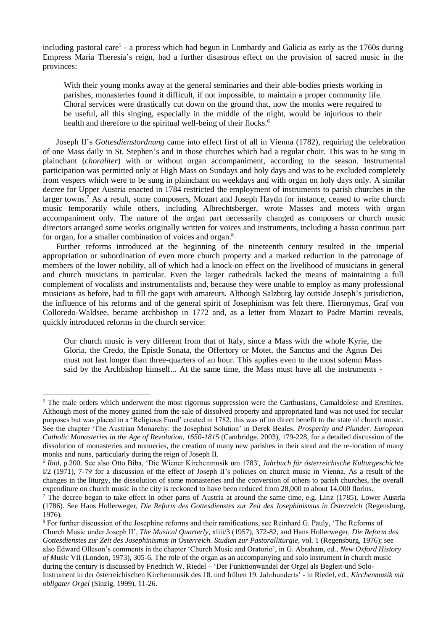including pastoral care<sup>5</sup> - a process which had begun in Lombardy and Galicia as early as the 1760s during Empress Maria Theresia's reign, had a further disastrous effect on the provision of sacred music in the provinces:

With their young monks away at the general seminaries and their able-bodies priests working in parishes, monasteries found it difficult, if not impossible, to maintain a proper community life. Choral services were drastically cut down on the ground that, now the monks were required to be useful, all this singing, especially in the middle of the night, would be injurious to their health and therefore to the spiritual well-being of their flocks.<sup>6</sup>

Joseph II's *Gottesdienstordnung* came into effect first of all in Vienna (1782), requiring the celebration of one Mass daily in St. Stephen's and in those churches which had a regular choir. This was to be sung in plainchant (*choraliter*) with or without organ accompaniment, according to the season. Instrumental participation was permitted only at High Mass on Sundays and holy days and was to be excluded completely from vespers which were to be sung in plainchant on weekdays and with organ on holy days only. A similar decree for Upper Austria enacted in 1784 restricted the employment of instruments to parish churches in the larger towns.<sup>7</sup> As a result, some composers, Mozart and Joseph Haydn for instance, ceased to write church music temporarily while others, including Albrechtsberger, wrote Masses and motets with organ accompaniment only. The nature of the organ part necessarily changed as composers or church music directors arranged some works originally written for voices and instruments, including a basso continuo part for organ, for a smaller combination of voices and organ.<sup>8</sup>

Further reforms introduced at the beginning of the nineteenth century resulted in the imperial appropriation or subordination of even more church property and a marked reduction in the patronage of members of the lower nobility, all of which had a knock-on effect on the livelihood of musicians in general and church musicians in particular. Even the larger cathedrals lacked the means of maintaining a full complement of vocalists and instrumentalists and, because they were unable to employ as many professional musicians as before, had to fill the gaps with amateurs. Although Salzburg lay outside Joseph's jurisdiction, the influence of his reforms and of the general spirit of Josephinism was felt there. Hieronymus, Graf von Colloredo-Waldsee, became archbishop in 1772 and, as a letter from Mozart to Padre Martini reveals, quickly introduced reforms in the church service:

Our church music is very different from that of Italy, since a Mass with the whole Kyrie, the Gloria, the Credo, the Epistle Sonata, the Offertory or Motet, the Sanctus and the Agnus Dei must not last longer than three-quarters of an hour. This applies even to the most solemn Mass said by the Archbishop himself... At the same time, the Mass must have all the instruments -

<sup>&</sup>lt;sup>5</sup> The male orders which underwent the most rigorous suppression were the Carthusians, Camaldolese and Eremites. Although most of the money gained from the sale of dissolved property and appropriated land was not used for secular purposes but was placed in a 'Religious Fund' created in 1782, this was of no direct benefit to the state of church music. See the chapter 'The Austrian Monarchy: the Josephist Solution' in Derek Beales, *Prosperity and Plunder. European Catholic Monasteries in the Age of Revolution, 1650-1815* (Cambridge, 2003), 179-228, for a detailed discussion of the dissolution of monasteries and nunneries, the creation of many new parishes in their stead and the re-location of many monks and nuns, particularly during the reign of Joseph II.

<sup>6</sup> *Ibid*, p.200. See also Otto Biba, 'Die Wiener Kirchenmusik um 1783', *Jahrbuch für österreichische Kulturgeschichte*  I/2 (1971), 7-79 for a discussion of the effect of Joseph II's policies on church music in Vienna. As a result of the changes in the liturgy, the dissolution of some monasteries and the conversion of others to parish churches, the overall expenditure on church music in the city is reckoned to have been reduced from 28,000 to about 14,000 florins.

<sup>&</sup>lt;sup>7</sup> The decree began to take effect in other parts of Austria at around the same time, e.g. Linz (1785), Lower Austria (1786). See Hans Hollerweger, *Die Reform des Gottesdienstes zur Zeit des Josephinismus in Österreich* (Regensburg, 1976).

<sup>8</sup> For further discussion of the Josephine reforms and their ramifications, see Reinhard G. Pauly, 'The Reforms of Church Music under Joseph II', *The Musical Quarterly*, xliii/3 (1957), 372-82, and Hans Hollerweger, *Die Reform des Gottesdienstes zur Zeit des Josephinismus in Österreich. Studien zur Pastoralliturgie*, vol. 1 (Regensburg, 1976); see also Edward Olleson's comments in the chapter 'Church Music and Oratorio', in G. Abraham, ed., *New Oxford History of Music* VII (London, 1973), 305-6. The role of the organ as an accompanying and solo instrument in church music during the century is discussed by Friedrich W. Riedel – 'Der Funktionwandel der Orgel als Begleit-und Solo-Instrument in der österreichischen Kirchenmusik des 18. und frühen 19. Jahrhunderts' - in Riedel, ed., *Kirchenmusik mit obligater Orgel* (Sinzig, 1999), 11-26.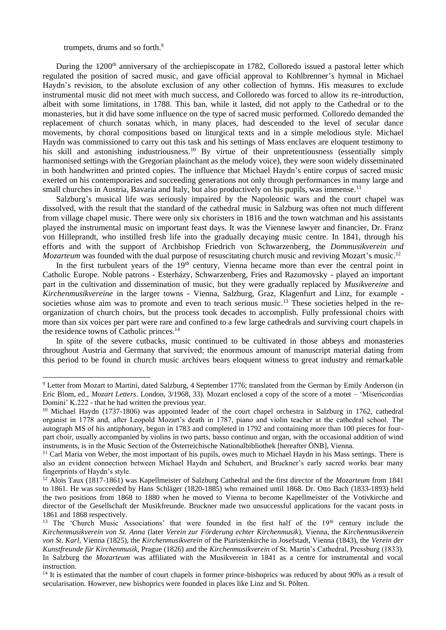trumpets, drums and so forth.<sup>9</sup>

During the 1200<sup>th</sup> anniversary of the archiepiscopate in 1782, Colloredo issued a pastoral letter which regulated the position of sacred music, and gave official approval to Kohlbrenner's hymnal in Michael Haydn's revision, to the absolute exclusion of any other collection of hymns. His measures to exclude instrumental music did not meet with much success, and Colloredo was forced to allow its re-introduction, albeit with some limitations, in 1788. This ban, while it lasted, did not apply to the Cathedral or to the monasteries, but it did have some influence on the type of sacred music performed. Colloredo demanded the replacement of church sonatas which, in many places, had descended to the level of secular dance movements, by choral compositions based on liturgical texts and in a simple melodious style. Michael Haydn was commissioned to carry out this task and his settings of Mass enclaves are eloquent testimony to his skill and astonishing industriousness.<sup>10</sup> By virtue of their unpretentiousness (essentially simply harmonised settings with the Gregorian plainchant as the melody voice), they were soon widely disseminated in both handwritten and printed copies. The influence that Michael Haydn's entire corpus of sacred music exerted on his contemporaries and succeeding generations not only through performances in many large and small churches in Austria, Bavaria and Italy, but also productively on his pupils, was immense.<sup>11</sup>

Salzburg's musical life was seriously impaired by the Napoleonic wars and the court chapel was dissolved, with the result that the standard of the cathedral music in Salzburg was often not much different from village chapel music. There were only six choristers in 1816 and the town watchman and his assistants played the instrumental music on important feast days. It was the Viennese lawyer and financier, Dr. Franz von Hilleprandt, who instilled fresh life into the gradually decaying music centre. In 1841, through his efforts and with the support of Archbishop Friedrich von Schwarzenberg, the *Dommusikverein und Mozarteum* was founded with the dual purpose of resuscitating church music and reviving Mozart's music.<sup>12</sup>

In the first turbulent years of the  $19<sup>th</sup>$  century, Vienna became more than ever the central point in Catholic Europe. Noble patrons - Esterházy, Schwarzenberg, Fries and Razumovsky - played an important part in the cultivation and dissemination of music, but they were gradually replaced by *Musikvereine* and *Kirchenmusikvereine* in the larger towns - Vienna, Salzburg, Graz, Klagenfurt and Linz, for example societies whose aim was to promote and even to teach serious music.<sup>13</sup> These societies helped in the reorganization of church choirs, but the process took decades to accomplish. Fully professional choirs with more than six voices per part were rare and confined to a few large cathedrals and surviving court chapels in the residence towns of Catholic princes.<sup>14</sup>

In spite of the severe cutbacks, music continued to be cultivated in those abbeys and monasteries throughout Austria and Germany that survived; the enormous amount of manuscript material dating from this period to be found in church music archives bears eloquent witness to great industry and remarkable

<sup>&</sup>lt;sup>9</sup> Letter from Mozart to Martini, dated Salzburg, 4 September 1776; translated from the German by Emily Anderson (in Eric Blom, ed., *Mozart Letters*. London, 3/1968, 33). Mozart enclosed a copy of the score of a motet – 'Misericordias Domini' K.222 - that he had written the previous year.

<sup>&</sup>lt;sup>10</sup> Michael Haydn (1737-1806) was appointed leader of the court chapel orchestra in Salzburg in 1762, cathedral organist in 1778 and, after Leopold Mozart's death in 1787, piano and violin teacher at the cathedral school. The autograph MS of his antiphonary, begun in 1783 and completed in 1792 and containing more than 100 pieces for fourpart choir, usually accompanied by violins in two parts, basso continuo and organ, with the occasional addition of wind instruments, is in the Music Section of the Österreichische Nationalbibliothek [hereafter ÖNB], Vienna.

<sup>&</sup>lt;sup>11</sup> Carl Maria von Weber, the most important of his pupils, owes much to Michael Haydn in his Mass settings. There is also an evident connection between Michael Haydn and Schubert, and Bruckner's early sacred works bear many fingerprints of Haydn's style.

<sup>12</sup> Alois Taux (1817-1861) was Kapellmeister of Salzburg Cathedral and the first director of the *Mozarteum* from 1841 to 1861. He was succeeded by Hans Schläger (1820-1885) who remained until 1868. Dr. Otto Bach (1833-1893) held the two positions from 1868 to 1880 when he moved to Vienna to become Kapellmeister of the Votivkirche and director of the Gesellschaft der Musikfreunde. Bruckner made two unsuccessful applications for the vacant posts in 1861 and 1868 respectively.

<sup>&</sup>lt;sup>13</sup> The 'Church Music Associations' that were founded in the first half of the  $19<sup>th</sup>$  century include the *Kirchenmusikverein von St. Anna* (later *Verein zur Förderung echter Kirchenmusik*), Vienna, the *Kirchenmusikverein von St. Karl*, Vienna (1825), the *Kirchenmusikverein* of the Piaristenkirche in Josefstadt, Vienna (1843), the *Verein der Kunstfreunde für Kirchenmusik*, Prague (1826) and the *Kirchenmusikverein* of St. Martin's Cathedral, Pressburg (1833). In Salzburg the *Mozarteum* was affiliated with the Musikverein in 1841 as a centre for instrumental and vocal instruction.

 $14$  It is estimated that the number of court chapels in former prince-bishoprics was reduced by about 90% as a result of secularisation. However, new bishoprics were founded in places like Linz and St. Pölten.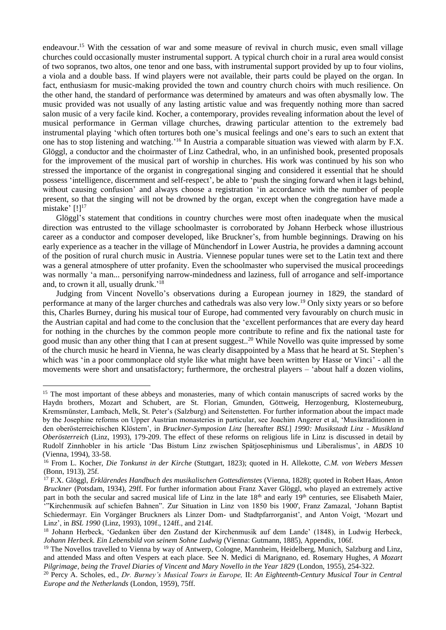endeavour.<sup>15</sup> With the cessation of war and some measure of revival in church music, even small village churches could occasionally muster instrumental support. A typical church choir in a rural area would consist of two sopranos, two altos, one tenor and one bass, with instrumental support provided by up to four violins, a viola and a double bass. If wind players were not available, their parts could be played on the organ. In fact, enthusiasm for music-making provided the town and country church choirs with much resilience. On the other hand, the standard of performance was determined by amateurs and was often abysmally low. The music provided was not usually of any lasting artistic value and was frequently nothing more than sacred salon music of a very facile kind. Kocher, a contemporary, provides revealing information about the level of musical performance in German village churches, drawing particular attention to the extremely bad instrumental playing 'which often tortures both one's musical feelings and one's ears to such an extent that one has to stop listening and watching.'<sup>16</sup> In Austria a comparable situation was viewed with alarm by F.X. Glöggl, a conductor and the choirmaster of Linz Cathedral, who, in an unfinished book, presented proposals for the improvement of the musical part of worship in churches. His work was continued by his son who stressed the importance of the organist in congregational singing and considered it essential that he should possess 'intelligence, discernment and self-respect', be able to 'push the singing forward when it lags behind, without causing confusion' and always choose a registration 'in accordance with the number of people present, so that the singing will not be drowned by the organ, except when the congregation have made a mistake'  $[!]^{17}$ 

Glöggl's statement that conditions in country churches were most often inadequate when the musical direction was entrusted to the village schoolmaster is corroborated by Johann Herbeck whose illustrious career as a conductor and composer developed, like Bruckner's, from humble beginnings. Drawing on his early experience as a teacher in the village of Münchendorf in Lower Austria, he provides a damning account of the position of rural church music in Austria. Viennese popular tunes were set to the Latin text and there was a general atmosphere of utter profanity. Even the schoolmaster who supervised the musical proceedings was normally 'a man... personifying narrow-mindedness and laziness, full of arrogance and self-importance and, to crown it all, usually drunk.' 18

Judging from Vincent Novello's observations during a European journey in 1829, the standard of performance at many of the larger churches and cathedrals was also very low.<sup>19</sup> Only sixty years or so before this, Charles Burney, during his musical tour of Europe, had commented very favourably on church music in the Austrian capital and had come to the conclusion that the 'excellent performances that are every day heard for nothing in the churches by the common people more contribute to refine and fix the national taste for good music than any other thing that I can at present suggest.. <sup>20</sup> While Novello was quite impressed by some of the church music he heard in Vienna, he was clearly disappointed by a Mass that he heard at St. Stephen's which was 'in a poor commonplace old style like what might have been written by Hasse or Vinci' - all the movements were short and unsatisfactory; furthermore, the orchestral players – 'about half a dozen violins,

<sup>&</sup>lt;sup>15</sup> The most important of these abbeys and monasteries, many of which contain manuscripts of sacred works by the Haydn brothers, Mozart and Schubert, are St. Florian, Gmunden, Göttweig, Herzogenburg, Klosterneuburg, Kremsmünster, Lambach, Melk, St. Peter's (Salzburg) and Seitenstetten. For further information about the impact made by the Josephine reforms on Upper Austrian monasteries in particular, see Joachim Angerer et al, 'Musiktraditionen in den oberösterreichischen Klöstern', in *Bruckner-Symposion Linz* [hereafter *BSL*] *1990: Musikstadt Linz - Musikland Oberösterreich* (Linz, 1993), 179-209. The effect of these reforms on religious life in Linz is discussed in detail by Rudolf Zinnhobler in his article 'Das Bistum Linz zwischen Spätjosephinismus und Liberalismus', in *ABDS* 10 (Vienna, 1994), 33-58.

<sup>16</sup> From L. Kocher, *Die Tonkunst in der Kirche* (Stuttgart, 1823); quoted in H. Allekotte, *C.M. von Webers Messen* (Bonn, 1913), 25f.

<sup>17</sup> F.X. Glöggl, *Erklärendes Handbuch des musikalischen Gottesdienstes* (Vienna, 1828); quoted in Robert Haas, *Anton Bruckner* (Potsdam, 1934), 29ff. For further information about Franz Xaver Glöggl, who played an extremely active part in both the secular and sacred musical life of Linz in the late  $18<sup>th</sup>$  and early  $19<sup>th</sup>$  centuries, see Elisabeth Maier, '"Kirchenmusik auf schiefen Bahnen". Zur Situation in Linz von 1850 bis 1900', Franz Zamazal, 'Johann Baptist Schiedermayr. Ein Vorgänger Bruckners als Linzer Dom- und Stadtpfarrorganist', and Anton Voigt, 'Mozart und Linz', in *BSL 1990* (Linz, 1993), 109f., 124ff., and 214f.

<sup>&</sup>lt;sup>18</sup> Johann Herbeck, 'Gedanken über den Zustand der Kirchenmusik auf dem Lande' (1848), in Ludwig Herbeck, *Johann Herbeck. Ein Lebensbild von seinem Sohne Ludwig* (Vienna: Gutmann, 1885), Appendix, 106f.

<sup>&</sup>lt;sup>19</sup> The Novellos travelled to Vienna by way of Antwerp, Cologne, Mannheim, Heidelberg, Munich, Salzburg and Linz, and attended Mass and often Vespers at each place. See N. Medici di Marignano, ed. Rosemary Hughes, *A Mozart Pilgrimage, being the Travel Diaries of Vincent and Mary Novello in the Year 1829* (London, 1955), 254-322.

<sup>20</sup> Percy A. Scholes, ed., *Dr. Burney's Musical Tours in Europe,* II: *An Eighteenth-Century Musical Tour in Central Europe and the Netherlands* (London, 1959), 75ff.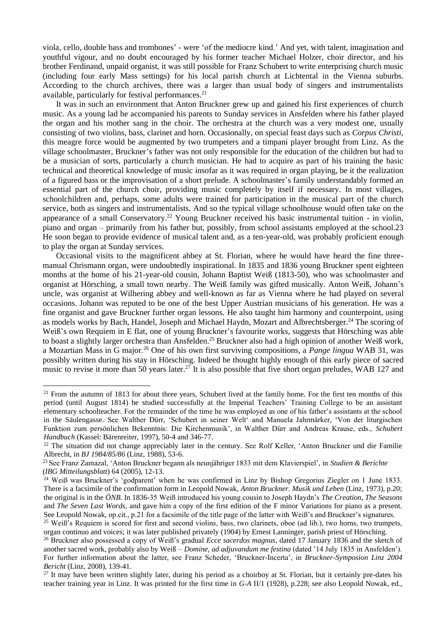viola, cello, double bass and trombones' - were 'of the mediocre kind.' And yet, with talent, imagination and youthful vigour, and no doubt encouraged by his former teacher Michael Holzer, choir director, and his brother Ferdinand, unpaid organist, it was still possible for Franz Schubert to write enterprising church music (including four early Mass settings) for his local parish church at Lichtental in the Vienna suburbs. According to the church archives, there was a larger than usual body of singers and instrumentalists available, particularly for festival performances. $^{21}$ 

It was in such an environment that Anton Bruckner grew up and gained his first experiences of church music. As a young lad he accompanied his parents to Sunday services in Ansfelden where his father played the organ and his mother sang in the choir. The orchestra at the church was a very modest one, usually consisting of two violins, bass, clarinet and horn. Occasionally, on special feast days such as *Corpus Christi*, this meagre force would be augmented by two trumpeters and a timpani player brought from Linz. As the village schoolmaster, Bruckner's father was not only responsible for the education of the children but had to be a musician of sorts, particularly a church musician. He had to acquire as part of his training the basic technical and theoretical knowledge of music insofar as it was required in organ playing, be it the realization of a figured bass or the improvisation of a short prelude. A schoolmaster's family understandably formed an essential part of the church choir, providing music completely by itself if necessary. In most villages, schoolchildren and, perhaps, some adults were trained for participation in the musical part of the church service, both as singers and instrumentalists. And so the typical village schoolhouse would often take on the appearance of a small Conservatory.<sup>22</sup> Young Bruckner received his basic instrumental tuition - in violin, piano and organ – primarily from his father but, possibly, from school assistants employed at the school.23 He soon began to provide evidence of musical talent and, as a ten-year-old, was probably proficient enough to play the organ at Sunday services.

Occasional visits to the magnificent abbey at St. Florian, where he would have heard the fine threemanual Chrismann organ, were undoubtedly inspirational. In 1835 and 1836 young Bruckner spent eighteen months at the home of his 21-year-old cousin, Johann Baptist Weiß (1813-50), who was schoolmaster and organist at Hörsching, a small town nearby. The Weiß family was gifted musically. Anton Weiß, Johann's uncle, was organist at Wilhering abbey and well-known as far as Vienna where he had played on several occasions. Johann was reputed to be one of the best Upper Austrian musicians of his generation. He was a fine organist and gave Bruckner further organ lessons. He also taught him harmony and counterpoint, using as models works by Bach, Handel, Joseph and Michael Haydn, Mozart and Albrechtsberger.<sup>24</sup> The scoring of Weiß's own Requiem in E flat, one of young Bruckner's favourite works, suggests that Hörsching was able to boast a slightly larger orchestra than Ansfelden.<sup>25</sup> Bruckner also had a high opinion of another Weiß work, a Mozartian Mass in G major.<sup>26</sup> One of his own first surviving compositions, a *Pange lingua* WAB 31, was possibly written during his stay in Hörsching. Indeed he thought highly enough of this early piece of sacred music to revise it more than 50 years later.<sup>27</sup> It is also possible that five short organ preludes, WAB 127 and

 $27$  It may have been written slightly later, during his period as a choirboy at St. Florian, but it certainly pre-dates his teacher training year in Linz. It was printed for the first time in *G-A* II/1 (1928), p.228; see also Leopold Nowak, ed.,

<sup>&</sup>lt;sup>21</sup> From the autumn of 1813 for about three years, Schubert lived at the family home. For the first ten months of this period (until August 1814) he studied successfully at the Imperial Teachers' Training College to be an assistant elementary schoolteacher. For the remainder of the time he was employed as one of his father's assistants at the school in the Säulengasse. See Walther Dürr, 'Schubert in seiner Welt' and Manuela Jahrmärker, 'Von der liturgischen Funktion zum persönlichen Bekenntnis: Die Kirchenmusik', in Walther Dürr and Andreas Krause, eds., *Schubert Handbuch* (Kassel: Bärenreiter, 1997), 50-4 and 346-77.

<sup>&</sup>lt;sup>22</sup> The situation did not change appreciably later in the century. See Rolf Keller, 'Anton Bruckner und die Familie Albrecht, in *BJ 1984/85/86* (Linz, 1988), 53-6.

<sup>23</sup>See Franz Zamazal, 'Anton Bruckner begann als neunjähriger 1833 mit dem Klavierspiel', in *Studien & Berichte* (*IBG Mitteilungsblatt*) 64 (2005), 12-13.

<sup>24</sup> Weiß was Bruckner's 'godparent' when he was confirmed in Linz by Bishop Gregorius Ziegler on 1 June 1833. There is a facsimile of the confirmation form in Leopold Nowak, *Anton Bruckner. Musik und Leben* (Linz, 1973), p.20; the original is in the *ÖNB*. In 1836-35 Weiß introduced his young cousin to Joseph Haydn's *The Creation*, *The Seasons* and *The Seven Last Words,* and gave him a copy of the first edition of the F minor Variations for piano as a present. See Leopold Nowak, op.cit., p.21 for a facsimile of the title page of the latter with Weiß's and Bruckner's signatures.

<sup>&</sup>lt;sup>25</sup> Weiß's Requiem is scored for first and second violins, bass, two clarinets, oboe (ad lib.), two horns, two trumpets, organ continuo and voices; it was later published privately (1904) by Ernest Lanninger, parish priest of Hörsching.

<sup>26</sup> Bruckner also possessed a copy of Weiß's gradual *Ecce sacerdos magnus*, dated 17 January 1836 and the sketch of another sacred work, probably also by Weiß – *Domine, ad adjuvandum me festina* (dated '14 July 1835 in Ansfelden'). For further information about the latter, see Franz Scheder, 'Bruckner-Incerta', in *Bruckner-Symposion Linz 2004 Bericht* (Linz, 2008), 139-41.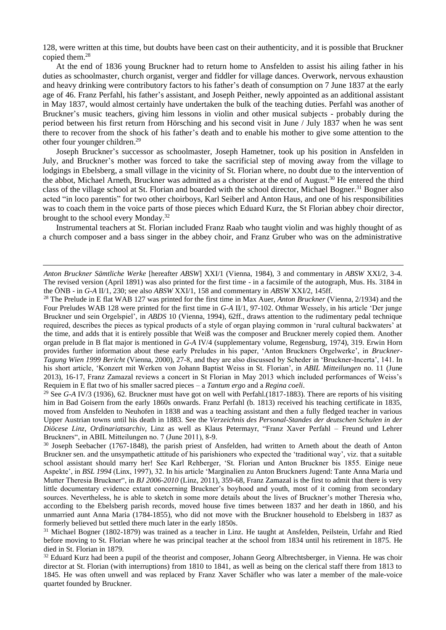128, were written at this time, but doubts have been cast on their authenticity, and it is possible that Bruckner copied them.<sup>28</sup>

At the end of 1836 young Bruckner had to return home to Ansfelden to assist his ailing father in his duties as schoolmaster, church organist, verger and fiddler for village dances. Overwork, nervous exhaustion and heavy drinking were contributory factors to his father's death of consumption on 7 June 1837 at the early age of 46. Franz Perfahl, his father's assistant, and Joseph Peither, newly appointed as an additional assistant in May 1837, would almost certainly have undertaken the bulk of the teaching duties. Perfahl was another of Bruckner's music teachers, giving him lessons in violin and other musical subjects - probably during the period between his first return from Hörsching and his second visit in June / July 1837 when he was sent there to recover from the shock of his father's death and to enable his mother to give some attention to the other four younger children.<sup>29</sup>

Joseph Bruckner's successor as schoolmaster, Joseph Hametner, took up his position in Ansfelden in July, and Bruckner's mother was forced to take the sacrificial step of moving away from the village to lodgings in Ebelsberg, a small village in the vicinity of St. Florian where, no doubt due to the intervention of the abbot, Michael Arneth, Bruckner was admitted as a chorister at the end of August.<sup>30</sup> He entered the third class of the village school at St. Florian and boarded with the school director, Michael Bogner.<sup>31</sup> Bogner also acted "in loco parentis" for two other choirboys, Karl Seiberl and Anton Haus, and one of his responsibilities was to coach them in the voice parts of those pieces which Eduard Kurz, the St Florian abbey choir director, brought to the school every Monday.<sup>32</sup>

Instrumental teachers at St. Florian included Franz Raab who taught violin and was highly thought of as a church composer and a bass singer in the abbey choir, and Franz Gruber who was on the administrative

<sup>28</sup> The Prelude in E flat WAB 127 was printed for the first time in Max Auer, *Anton Bruckner* (Vienna, 2/1934) and the Four Preludes WAB 128 were printed for the first time in *G-A* II/1, 97-102. Othmar Wessely, in his article 'Der junge Bruckner und sein Orgelspiel', in *ABDS* 10 (Vienna, 1994), 62ff., draws attention to the rudimentary pedal technique required, describes the pieces as typical products of a style of organ playing common in 'rural cultural backwaters' at the time, and adds that it is entirely possible that Weiß was the composer and Bruckner merely copied them. Another organ prelude in B flat major is mentioned in *G-A* IV/4 (supplementary volume, Regensburg, 1974), 319. Erwin Horn provides further information about these early Preludes in his paper, 'Anton Bruckners Orgelwerke', in *Bruckner-Tagung Wien 1999 Bericht* (Vienna, 2000), 27-8, and they are also discussed by Scheder in 'Bruckner-Incerta', 141. In his short article, 'Konzert mit Werken von Johann Baptist Weiss in St. Florian', in *ABIL Mitteilungen* no. 11 (June 2013), 16-17, Franz Zamazal reviews a concert in St Florian in May 2013 which included performances of Weiss's Requiem in E flat two of his smaller sacred pieces – a *Tantum ergo* and a *Regina coeli*.

<sup>29</sup> See *G-A* IV/3 (1936), 62. Bruckner must have got on well with Perfahl.(1817-1883). There are reports of his visiting him in Bad Goisern from the early 1860s onwards. Franz Perfahl (b. 1813) received his teaching certificate in 1835, moved from Ansfelden to Neuhofen in 1838 and was a teaching assistant and then a fully fledged teacher in various Upper Austrian towns until his death in 1883. See the *Verzeichnis des Personal-Standes der deutschen Schulen in der Diöcese Linz*, *Ordinariatsarchiv*, Linz as well as Klaus Petermayr, "Franz Xaver Perfahl – Freund und Lehrer Bruckners", in ABIL Mitteilungen no. 7 (June 2011), 8-9.

*Anton Bruckner Sämtliche Werke* [hereafter *ABSW*] XXI/1 (Vienna, 1984), 3 and commentary in *ABSW* XXI/2, 3-4. The revised version (April 1891) was also printed for the first time - in a facsimile of the autograph, Mus. Hs. 3184 in the ÖNB - in *G-A* II/1, 230; see also *ABSW* XXI/1, 158 and commentary in *ABSW* XXI/2, 145ff.

<sup>&</sup>lt;sup>30</sup> Joseph Seebacher (1767-1848), the parish priest of Ansfelden, had written to Arneth about the death of Anton Bruckner sen. and the unsympathetic attitude of his parishioners who expected the 'traditional way', viz. that a suitable school assistant should marry her! See Karl Rehberger, 'St. Florian und Anton Bruckner bis 1855. Einige neue Aspekte', in *BSL 1994* (Linx, 1997), 32. In his article 'Marginalien zu Anton Bruckners Jugend: Tante Anna Maria und Mutter Theresia Bruckner", in *BJ 2006-2010* (Linz, 2011), 359-68, Franz Zamazal is the first to admit that there is very little documentary evidence extant concerning Bruckner's boyhood and youth, most of it coming from secondary sources. Nevertheless, he is able to sketch in some more details about the lives of Bruckner's mother Theresia who, according to the Ebelsberg parish records, moved house five times between 1837 and her death in 1860, and his unmarried aunt Anna Maria (1784-1855), who did not move with the Bruckner household to Ebelsberg in 1837 as formerly believed but settled there much later in the early 1850s.

<sup>&</sup>lt;sup>31</sup> Michael Bogner (1802-1879) was trained as a teacher in Linz. He taught at Ansfelden, Peilstein, Urfahr and Ried before moving to St. Florian where he was principal teacher at the school from 1834 until his retirement in 1875. He died in St. Florian in 1879.

<sup>&</sup>lt;sup>32</sup> Eduard Kurz had been a pupil of the theorist and composer, Johann Georg Albrechtsberger, in Vienna. He was choir director at St. Florian (with interruptions) from 1810 to 1841, as well as being on the clerical staff there from 1813 to 1845. He was often unwell and was replaced by Franz Xaver Schäfler who was later a member of the male-voice quartet founded by Bruckner.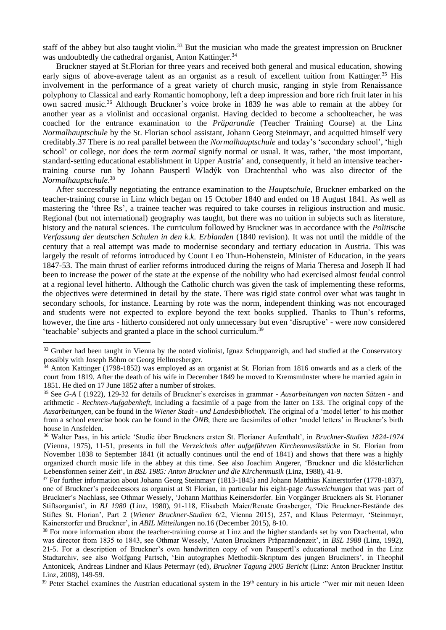staff of the abbey but also taught violin.<sup>33</sup> But the musician who made the greatest impression on Bruckner was undoubtedly the cathedral organist. Anton Kattinger.<sup>34</sup>

Bruckner stayed at St.Florian for three years and received both general and musical education, showing early signs of above-average talent as an organist as a result of excellent tuition from Kattinger.<sup>35</sup> His involvement in the performance of a great variety of church music, ranging in style from Renaissance polyphony to Classical and early Romantic homophony, left a deep impression and bore rich fruit later in his own sacred music.<sup>36</sup> Although Bruckner's voice broke in 1839 he was able to remain at the abbey for another year as a violinist and occasional organist. Having decided to become a schoolteacher, he was coached for the entrance examination to the *Präparandie* (Teacher Training Course) at the Linz *Normalhauptschule* by the St. Florian school assistant, Johann Georg Steinmayr, and acquitted himself very creditably.37 There is no real parallel between the *Normalhauptschule* and today's 'secondary school', 'high school' or college, nor does the term *normal* signify normal or usual. It was, rather, 'the most important, standard-setting educational establishment in Upper Austria' and, consequently, it held an intensive teachertraining course run by Johann Pauspertl Wladýk von Drachtenthal who was also director of the *Normalhauptschule*. 38

After successfully negotiating the entrance examination to the *Hauptschule*, Bruckner embarked on the teacher-training course in Linz which began on 15 October 1840 and ended on 18 August 1841. As well as mastering the 'three Rs', a trainee teacher was required to take courses in religious instruction and music. Regional (but not international) geography was taught, but there was no tuition in subjects such as literature, history and the natural sciences. The curriculum followed by Bruckner was in accordance with the *Politische Verfassung der deutschen Schulen in den k.k. Erblanden* (1840 revision). It was not until the middle of the century that a real attempt was made to modernise secondary and tertiary education in Austria. This was largely the result of reforms introduced by Count Leo Thun-Hohenstein, Minister of Education, in the years 1847-53. The main thrust of earlier reforms introduced during the reigns of Maria Theresa and Joseph II had been to increase the power of the state at the expense of the nobility who had exercised almost feudal control at a regional level hitherto. Although the Catholic church was given the task of implementing these reforms, the objectives were determined in detail by the state. There was rigid state control over what was taught in secondary schools, for instance. Learning by rote was the norm, independent thinking was not encouraged and students were not expected to explore beyond the text books supplied. Thanks to Thun's reforms, however, the fine arts - hitherto considered not only unnecessary but even 'disruptive' - were now considered 'teachable' subjects and granted a place in the school curriculum.<sup>39</sup>

 $39$  Peter Stachel examines the Austrian educational system in the  $19<sup>th</sup>$  century in his article "wer mir mit neuen Ideen

<sup>&</sup>lt;sup>33</sup> Gruber had been taught in Vienna by the noted violinist, Ignaz Schuppanzigh, and had studied at the Conservatory possibly with Joseph Böhm or Georg Hellmesberger.

<sup>&</sup>lt;sup>34</sup> Anton Kattinger (1798-1852) was employed as an organist at St. Florian from 1816 onwards and as a clerk of the court from 1819. After the death of his wife in December 1849 he moved to Kremsmünster where he married again in 1851. He died on 17 June 1852 after a number of strokes.

<sup>35</sup> See *G-A* I (1922), 129-32 for details of Bruckner's exercises in grammar - *Ausarbeitungen von nacten Sätzen* - and arithmetic - *Rechnen-Aufgabenheft*, including a facsimile of a page from the latter on 133. The original copy of the *Ausarbeitungen*, can be found in the *Wiener Stadt - und Landesbibliothek.* The original of a 'model letter' to his mother from a school exercise book can be found in the *ÖNB*; there are facsimiles of other 'model letters' in Bruckner's birth house in Ansfelden.

<sup>36</sup> Walter Pass, in his article 'Studie über Bruckners ersten St. Florianer Aufenthalt', in *Bruckner-Studien 1824-1974*  (Vienna, 1975), 11-51, presents in full the *Verzeichnis aller aufgeführten Kirchenmusikstücke* in St. Florian from November 1838 to September 1841 (it actually continues until the end of 1841) and shows that there was a highly organized church music life in the abbey at this time. See also Joachim Angerer, 'Bruckner und die klösterlichen Lebensformen seiner Zeit', in *BSL 1985: Anton Bruckner und die Kirchenmusik* (Linz, 1988), 41-9.

<sup>37</sup> For further information about Johann Georg Steinmayr (1813-1845) and Johann Matthias Kainerstorfer (1778-1837), one of Bruckner's predecessors as organist at St Florian, in particular his eight-page *Ausweichungen* that was part of Bruckner's Nachlass, see Othmar Wessely, 'Johann Matthias Keinersdorfer. Ein Vorgânger Bruckners als St. Florianer Stiftsorganist', in *BJ 1980* (Linz, 1980), 91-118, Elisabeth Maier/Renate Grasberger, 'Die Bruckner-Bestände des Stiftes St. Florian', Part 2 (*Wiener Bruckner-Studien* 6/2, Vienna 2015), 257, and Klaus Petermayr, 'Steinmayr, Kainerstorfer und Bruckner', in *ABIL Mitteilungen* no.16 (December 2015), 8-10.

<sup>&</sup>lt;sup>38</sup> For more information about the teacher-training course at Linz and the higher standards set by von Drachental, who was director from 1835 to 1843, see Othmar Wessely, 'Anton Bruckners Präparandenzeit', in *BSL 1988* (Linz, 1992), 21-5. For a description of Bruckner's own handwritten copy of von Pauspertl's educational method in the Linz Stadtarchiv, see also Wolfgang Partsch, 'Ein autographes Methodik-Skriptum des jungen Bruckners', in Theophil Antonicek, Andreas Lindner and Klaus Petermayr (ed), *Bruckner Tagung 2005 Bericht* (Linz: Anton Bruckner Institut Linz, 2008), 149-59.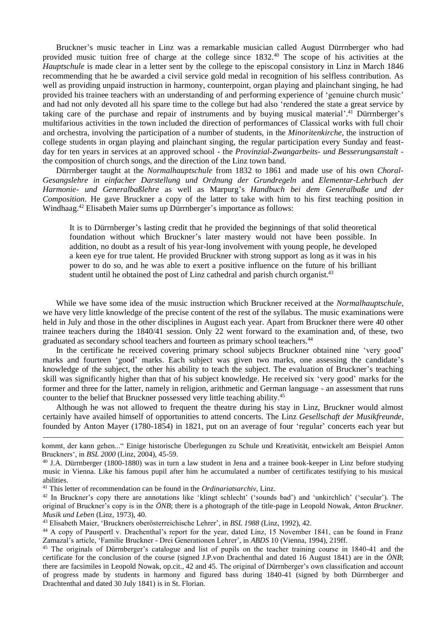Bruckner's music teacher in Linz was a remarkable musician called August Dürrnberger who had provided music tuition free of charge at the college since  $1832<sup>40</sup>$  The scope of his activities at the *Hauptschule* is made clear in a letter sent by the college to the episcopal consistory in Linz in March 1846 recommending that he be awarded a civil service gold medal in recognition of his selfless contribution. As well as providing unpaid instruction in harmony, counterpoint, organ playing and plainchant singing, he had provided his trainee teachers with an understanding of and performing experience of 'genuine church music' and had not only devoted all his spare time to the college but had also 'rendered the state a great service by taking care of the purchase and repair of instruments and by buying musical material'. <sup>41</sup> Dürrnberger's multifarious activities in the town included the direction of performances of Classical works with full choir and orchestra, involving the participation of a number of students, in the *Minoritenkirche*, the instruction of college students in organ playing and plainchant singing, the regular participation every Sunday and feastday for ten years in services at an approved school - the *Provinzial-Zwangarbeits- und Besserungsanstalt* the composition of church songs, and the direction of the Linz town band.

Dürrnberger taught at the *Normalhauptschule* from 1832 to 1861 and made use of his own *Choral-Gesangslehre in einfacher Darstellung und Ordnung der Grundregeln* and *Elementar-Lehrbuch der Harmonie- und Generalbaßlehre* as well as Marpurg's *Handbuch bei dem Generalbaße und der Composition*. He gave Bruckner a copy of the latter to take with him to his first teaching position in Windhaag.<sup>42</sup> Elisabeth Maier sums up Dürrnberger's importance as follows:

It is to Dürrnberger's lasting credit that he provided the beginnings of that solid theoretical foundation without which Bruckner's later mastery would not have been possible. In addition, no doubt as a result of his year-long involvement with young people, he developed a keen eye for true talent. He provided Bruckner with strong support as long as it was in his power to do so, and he was able to exert a positive influence on the future of his brilliant student until he obtained the post of Linz cathedral and parish church organist. $43$ 

While we have some idea of the music instruction which Bruckner received at the *Normalhauptschule*, we have very little knowledge of the precise content of the rest of the syllabus. The music examinations were held in July and those in the other disciplines in August each year. Apart from Bruckner there were 40 other trainee teachers during the 1840/41 session. Only 22 went forward to the examination and, of these, two graduated as secondary school teachers and fourteen as primary school teachers.<sup>44</sup>

In the certificate he received covering primary school subjects Bruckner obtained nine 'very good' marks and fourteen 'good' marks. Each subject was given two marks, one assessing the candidate's knowledge of the subject, the other his ability to teach the subject. The evaluation of Bruckner's teaching skill was significantly higher than that of his subject knowledge. He received six 'very good' marks for the former and three for the latter, namely in religion, arithmetic and German language - an assessment that runs counter to the belief that Bruckner possessed very little teaching ability.<sup>45</sup>

Although he was not allowed to frequent the theatre during his stay in Linz, Bruckner would almost certainly have availed himself of opportunities to attend concerts. The Linz *Gesellschaft der Musikfreunde*, founded by Anton Mayer (1780-1854) in 1821, put on an average of four 'regular' concerts each year but

<sup>41</sup> This letter of recommendation can be found in the *Ordinariatsarchiv*, Linz.

kommt, der kann gehen..." Einige historische Überlegungen zu Schule und Kreativität, entwickelt am Beispiel Anton Bruckners', in *BSL 2000* (Linz, 2004), 45-59.

<sup>40</sup> J.A. Dürrnberger (1800-1880) was in turn a law student in Jena and a trainee book-keeper in Linz before studying music in Vienna. Like his famous pupil after him he accumulated a number of certificates testifying to his musical abilities.

<sup>42</sup> In Bruckner's copy there are annotations like 'klingt schlecht' ('sounds bad') and 'unkirchlich' ('secular'). The original of Bruckner's copy is in the *ÖNB*; there is a photograph of the title-page in Leopold Nowak, *Anton Bruckner. Musik und Leben* (Linz, 1973), 40.

<sup>43</sup> Elisabeth Maier, 'Bruckners oberösterreichische Lehrer', in *BSL 1988* (Linz, 1992), 42.

<sup>44</sup> A copy of Pauspertl v. Drachenthal's report for the year, dated Linz, 15 November 1841, can be found in Franz Zamazal's article, 'Familie Bruckner - Drei Generationen Lehrer', in *ABDS* 10 (Vienna, 1994), 219ff.

<sup>&</sup>lt;sup>45</sup> The originals of Dürrnberger's catalogue and list of pupils on the teacher training course in 1840-41 and the certificate for the conclusion of the course (signed J.P.von Drachenthal and dated 16 August 1841) are in the *ÖNB*; there are facsimiles in Leopold Nowak, op.cit., 42 and 45. The original of Dürrnberger's own classification and account of progress made by students in harmony and figured bass during 1840-41 (signed by both Dürrnberger and Drachtenthal and dated 30 July 1841) is in St. Florian.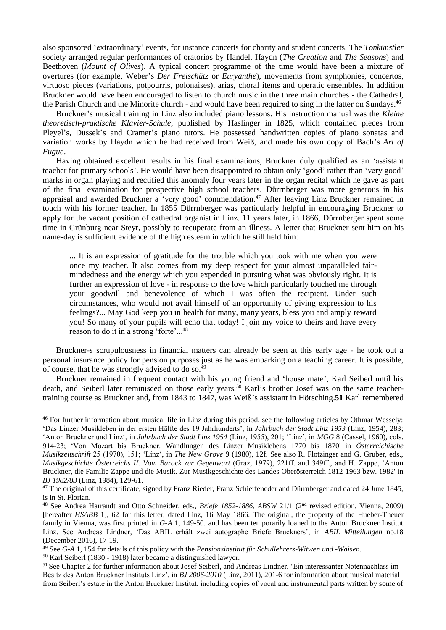also sponsored 'extraordinary' events, for instance concerts for charity and student concerts. The *Tonkünstler* society arranged regular performances of oratorios by Handel, Haydn (*The Creation* and *The Seasons*) and Beethoven (*Mount of Olives*). A typical concert programme of the time would have been a mixture of overtures (for example, Weber's *Der Freischütz* or *Euryanthe*), movements from symphonies, concertos, virtuoso pieces (variations, potpourris, polonaises), arias, choral items and operatic ensembles. In addition Bruckner would have been encouraged to listen to church music in the three main churches - the Cathedral, the Parish Church and the Minorite church - and would have been required to sing in the latter on Sundays.<sup>46</sup>

Bruckner's musical training in Linz also included piano lessons. His instruction manual was the *Kleine theoretisch-praktische Klavier-Schule*, published by Haslinger in 1825, which contained pieces from Pleyel's, Dussek's and Cramer's piano tutors. He possessed handwritten copies of piano sonatas and variation works by Haydn which he had received from Weiß, and made his own copy of Bach's *Art of Fugue*.

Having obtained excellent results in his final examinations, Bruckner duly qualified as an 'assistant teacher for primary schools'. He would have been disappointed to obtain only 'good' rather than 'very good' marks in organ playing and rectified this anomaly four years later in the organ recital which he gave as part of the final examination for prospective high school teachers. Dürrnberger was more generous in his appraisal and awarded Bruckner a 'very good' commendation.<sup>47</sup> After leaving Linz Bruckner remained in touch with his former teacher. In 1855 Dürrnberger was particularly helpful in encouraging Bruckner to apply for the vacant position of cathedral organist in Linz. 11 years later, in 1866, Dürrnberger spent some time in Grünburg near Steyr, possibly to recuperate from an illness. A letter that Bruckner sent him on his name-day is sufficient evidence of the high esteem in which he still held him:

... It is an expression of gratitude for the trouble which you took with me when you were once my teacher. It also comes from my deep respect for your almost unparalleled fairmindedness and the energy which you expended in pursuing what was obviously right. It is further an expression of love - in response to the love which particularly touched me through your goodwill and benevolence of which I was often the recipient. Under such circumstances, who would not avail himself of an opportunity of giving expression to his feelings?... May God keep you in health for many, many years, bless you and amply reward you! So many of your pupils will echo that today! I join my voice to theirs and have every reason to do it in a strong 'forte'...<sup>48</sup>

Bruckner-s scrupulousness in financial matters can already be seen at this early age - he took out a personal insurance policy for pension purposes just as he was embarking on a teaching career. It is possible, of course, that he was strongly advised to do so. $^{49}$ 

Bruckner remained in frequent contact with his young friend and 'house mate', Karl Seiberl until his death, and Seiberl later reminisced on those early years.<sup>50</sup> Karl's brother Josef was on the same teachertraining course as Bruckner and, from 1843 to 1847, was Weiß's assistant in Hörsching.**51** Karl remembered

<sup>46</sup> For further information about musical life in Linz during this period, see the following articles by Othmar Wessely: 'Das Linzer Musikleben in der ersten Hälfte des 19 Jahrhunderts', in *Jahrbuch der Stadt Linz 1953* (Linz, 1954), 283; 'Anton Bruckner und Linz', in *Jahrbuch der Stadt Linz 1954* (Linz, 1955), 201; 'Linz', in *MGG* 8 (Cassel, 1960), cols. 914-23; 'Von Mozart bis Bruckner. Wandlungen des Linzer Musiklebens 1770 bis 1870' in *Österreichische Musikzeitschrift* 25 (1970), 151; 'Linz', in *The New Grove* 9 (1980), 12f. See also R. Flotzinger and G. Gruber, eds., *Musikgeschichte Österreichs II. Vom Barock zur Gegenwart* (Graz, 1979), 221ff. and 349ff., and H. Zappe, 'Anton Bruckner, die Familie Zappe und die Musik. Zur Musikgeschichte des Landes Oberösterreich 1812-1963 bzw. 1982' in *BJ 1982/83* (Linz, 1984), 129-61.

<sup>&</sup>lt;sup>47</sup> The original of this certificate, signed by Franz Rieder, Franz Schierfeneder and Dürrnberger and dated 24 June 1845, is in St. Florian.

<sup>48</sup> See Andrea Harrandt and Otto Schneider, eds., *Briefe 1852-1886*, *ABSW* 21/1 (2nd revised edition, Vienna, 2009) [hereafter *HSABB* 1], 62 for this letter, dated Linz, 16 May 1866. The original, the property of the Hueber-Theuer family in Vienna, was first printed in *G-A* 1, 149-50. and has been temporarily loaned to the Anton Bruckner Institut Linz. See Andreas Lindner, 'Das ABIL erhält zwei autographe Briefe Bruckners', in *ABIL Mitteilungen* no.18 (December 2016), 17-19.

<sup>49</sup> See *G-A* 1, 154 for details of this policy with the *Pensionsinstitut für Schullehrers-Witwen und -Waisen.*

<sup>50</sup> Karl Seiberl (1830 - 1918) later became a distinguished lawyer.

<sup>51</sup> See Chapter 2 for further information about Josef Seiberl, and Andreas Lindner, 'Ein interessanter Notennachlass im Besitz des Anton Bruckner Instituts Linz', in *BJ 2006-2010* (Linz, 2011), 201-6 for information about musical material from Seiberl's estate in the Anton Bruckner Institut, including copies of vocal and instrumental parts written by some of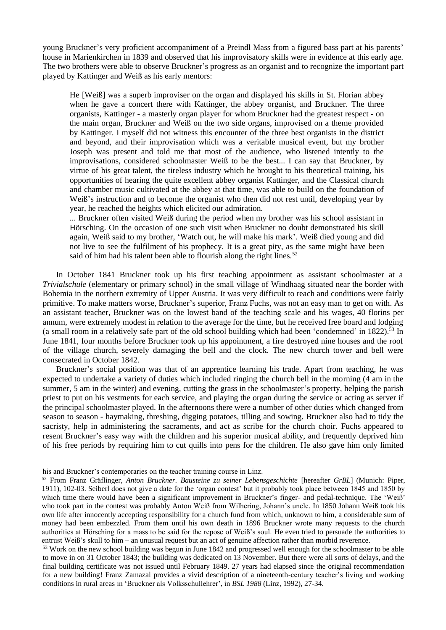young Bruckner's very proficient accompaniment of a Preindl Mass from a figured bass part at his parents' house in Marienkirchen in 1839 and observed that his improvisatory skills were in evidence at this early age. The two brothers were able to observe Bruckner's progress as an organist and to recognize the important part played by Kattinger and Weiß as his early mentors:

He [Weiß] was a superb improviser on the organ and displayed his skills in St. Florian abbey when he gave a concert there with Kattinger, the abbey organist, and Bruckner. The three organists, Kattinger - a masterly organ player for whom Bruckner had the greatest respect - on the main organ, Bruckner and Weiß on the two side organs, improvised on a theme provided by Kattinger. I myself did not witness this encounter of the three best organists in the district and beyond, and their improvisation which was a veritable musical event, but my brother Joseph was present and told me that most of the audience, who listened intently to the improvisations, considered schoolmaster Weiß to be the best... I can say that Bruckner, by virtue of his great talent, the tireless industry which he brought to his theoretical training, his opportunities of hearing the quite excellent abbey organist Kattinger, and the Classical church and chamber music cultivated at the abbey at that time, was able to build on the foundation of Weiß's instruction and to become the organist who then did not rest until, developing year by year, he reached the heights which elicited our admiration.

... Bruckner often visited Weiß during the period when my brother was his school assistant in Hörsching. On the occasion of one such visit when Bruckner no doubt demonstrated his skill again, Weiß said to my brother, 'Watch out, he will make his mark'. Weiß died young and did not live to see the fulfilment of his prophecy. It is a great pity, as the same might have been said of him had his talent been able to flourish along the right lines.<sup>52</sup>

In October 1841 Bruckner took up his first teaching appointment as assistant schoolmaster at a *Trivialschule* (elementary or primary school) in the small village of Windhaag situated near the border with Bohemia in the northern extremity of Upper Austria. It was very difficult to reach and conditions were fairly primitive. To make matters worse, Bruckner's superior, Franz Fuchs, was not an easy man to get on with. As an assistant teacher, Bruckner was on the lowest band of the teaching scale and his wages, 40 florins per annum, were extremely modest in relation to the average for the time, but he received free board and lodging (a small room in a relatively safe part of the old school building which had been 'condemned' in  $1822$ ).<sup>53</sup> In June 1841, four months before Bruckner took up his appointment, a fire destroyed nine houses and the roof of the village church, severely damaging the bell and the clock. The new church tower and bell were consecrated in October 1842.

Bruckner's social position was that of an apprentice learning his trade. Apart from teaching, he was expected to undertake a variety of duties which included ringing the church bell in the morning (4 am in the summer, 5 am in the winter) and evening, cutting the grass in the schoolmaster's property, helping the parish priest to put on his vestments for each service, and playing the organ during the service or acting as server if the principal schoolmaster played. In the afternoons there were a number of other duties which changed from season to season - haymaking, threshing, digging potatoes, tilling and sowing. Bruckner also had to tidy the sacristy, help in administering the sacraments, and act as scribe for the church choir. Fuchs appeared to resent Bruckner's easy way with the children and his superior musical ability, and frequently deprived him of his free periods by requiring him to cut quills into pens for the children. He also gave him only limited

<sup>53</sup> Work on the new school building was begun in June 1842 and progressed well enough for the schoolmaster to be able to move in on 31 October 1843; the building was dedicated on 13 November. But there were all sorts of delays, and the final building certificate was not issued until February 1849. 27 years had elapsed since the original recommendation for a new building! Franz Zamazal provides a vivid description of a nineteenth-century teacher's living and working conditions in rural areas in 'Bruckner als Volksschullehrer', in *BSL 1988* (Linz, 1992), 27-34.

his and Bruckner's contemporaries on the teacher training course in Linz.

<sup>52</sup> From Franz Gräflinger, *Anton Bruckner. Bausteine zu seiner Lebensgeschichte* [hereafter *GrBL*] (Munich: Piper, 1911), 102-03. Seiberl does not give a date for the 'organ contest' but it probably took place between 1845 and 1850 by which time there would have been a significant improvement in Bruckner's finger- and pedal-technique. The 'Weiß' who took part in the contest was probably Anton Weiß from Wilhering, Johann's uncle. In 1850 Johann Weiß took his own life after innocently accepting responsibility for a church fund from which, unknown to him, a considerable sum of money had been embezzled. From them until his own death in 1896 Bruckner wrote many requests to the church authorities at Hörsching for a mass to be said for the repose of Weiß's soul. He even tried to persuade the authorities to entrust Weiß's skull to him – an unusual request but an act of genuine affection rather than morbid reverence.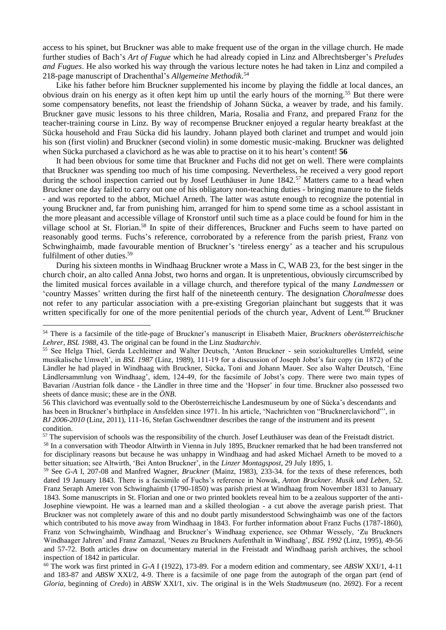access to his spinet, but Bruckner was able to make frequent use of the organ in the village church. He made further studies of Bach's *Art of Fugue* which he had already copied in Linz and Albrechtsberger's *Preludes and Fugues*. He also worked his way through the various lecture notes he had taken in Linz and compiled a 218-page manuscript of Drachenthal's *Allgemeine Methodik*. 54

Like his father before him Bruckner supplemented his income by playing the fiddle at local dances, an obvious drain on his energy as it often kept him up until the early hours of the morning.<sup>55</sup> But there were some compensatory benefits, not least the friendship of Johann Sücka, a weaver by trade, and his family. Bruckner gave music lessons to his three children, Maria, Rosalia and Franz, and prepared Franz for the teacher-training course in Linz. By way of recompense Bruckner enjoyed a regular hearty breakfast at the Sücka household and Frau Sücka did his laundry. Johann played both clarinet and trumpet and would join his son (first violin) and Bruckner (second violin) in some domestic music-making. Bruckner was delighted when Sücka purchased a clavichord as he was able to practise on it to his heart's content! **56**

It had been obvious for some time that Bruckner and Fuchs did not get on well. There were complaints that Bruckner was spending too much of his time composing. Nevertheless, he received a very good report during the school inspection carried out by Josef Leuthäuser in June 1842.<sup>57</sup> Matters came to a head when Bruckner one day failed to carry out one of his obligatory non-teaching duties - bringing manure to the fields - and was reported to the abbot, Michael Arneth. The latter was astute enough to recognize the potential in young Bruckner and, far from punishing him, arranged for him to spend some time as a school assistant in the more pleasant and accessible village of Kronstorf until such time as a place could be found for him in the village school at St. Florian.<sup>58</sup> In spite of their differences, Bruckner and Fuchs seem to have parted on reasonably good terms. Fuchs's reference, corroborated by a reference from the parish priest, Franz von Schwinghaimb, made favourable mention of Bruckner's 'tireless energy' as a teacher and his scrupulous fulfilment of other duties.<sup>59</sup>

During his sixteen months in Windhaag Bruckner wrote a Mass in C, WAB 23, for the best singer in the church choir, an alto called Anna Jobst, two horns and organ. It is unpretentious, obviously circumscribed by the limited musical forces available in a village church, and therefore typical of the many *Landmessen* or 'country Masses' written during the first half of the nineteenth century. The designation *Choralmesse* does not refer to any particular association with a pre-existing Gregorian plainchant but suggests that it was written specifically for one of the more penitential periods of the church year, Advent of Lent.<sup>60</sup> Bruckner

<sup>54</sup> There is a facsimile of the title-page of Bruckner's manuscript in Elisabeth Maier, *Bruckners oberösterreichische Lehrer*, *BSL 1988*, 43. The original can be found in the Linz *Stadtarchiv*.

<sup>55</sup> See Helga Thiel, Gerda Lechleitner and Walter Deutsch, 'Anton Bruckner - sein soziokulturelles Umfeld, seine musikalische Umwelt', in *BSL 1987* (Linz, 1989), 111-19 for a discussion of Joseph Jobst's fair copy (in 1872) of the Ländler he had played in Windhaag with Bruckner, Sücka, Toni and Johann Mauer. See also Walter Deutsch, 'Eine Ländlersammlung von Windhaag', idem, 124-49, for the facsimile of Jobst's copy. There were two main types of Bavarian /Austrian folk dance - the Ländler in three time and the 'Hopser' in four time. Bruckner also possessed two sheets of dance music; these are in the *ÖNB*.

<sup>56</sup> This clavichord was eventually sold to the Oberösterreichische Landesmuseum by one of Sücka's descendants and has been in Bruckner's birthplace in Ansfelden since 1971. In his article, 'Nachrichten von "Brucknerclavichord"', in *BJ 2006-2010* (Linz, 2011), 111-16, Stefan Gschwendtner describes the range of the instrument and its present condition.

<sup>&</sup>lt;sup>57</sup> The supervision of schools was the responsibility of the church. Josef Leuthäuser was dean of the Freistadt district.

<sup>58</sup> In a conversation with Theodor Altwirth in Vienna in July 1895, Bruckner remarked that he had been transferred not for disciplinary reasons but because he was unhappy in Windhaag and had asked Michael Arneth to be moved to a better situation; see Altwirth, 'Bei Anton Bruckner', in the *Linzer Montagspost*, 29 July 1895, 1.

<sup>59</sup> See *G-A* I, 207-08 and Manfred Wagner, *Bruckner* (Mainz, 1983), 233-34. for the texts of these references, both dated 19 January 1843. There is a facsimile of Fuchs's reference in Nowak*, Anton Bruckner. Musik und Leben*, 52. Franz Seraph Amerer von Schwinghaimb (1790-1850) was parish priest at Windhaag from November 1831 to January 1843. Some manuscripts in St. Florian and one or two printed booklets reveal him to be a zealous supporter of the anti-Josephine viewpoint. He was a learned man and a skilled theologian - a cut above the average parish priest. That Bruckner was not completely aware of this and no doubt partly misunderstood Schwinghaimb was one of the factors which contributed to his move away from Windhaag in 1843. For further information about Franz Fuchs (1787-1860), Franz von Schwinghaimb, Windhaag and Bruckner's Windhaag experience, see Othmar Wessely, 'Zu Bruckners Windhaager Jahren' and Franz Zamazal, 'Neues zu Bruckners Aufenthalt in Windhaag', *BSL 1992* (Linz, 1995), 49-56 and 57-72. Both articles draw on documentary material in the Freistadt and Windhaag parish archives, the school inspection of 1842 in particular.

<sup>60</sup> The work was first printed in *G-A* I (1922), 173-89. For a modern edition and commentary, see *ABSW* XXI/1, 4-11 and 183-87 and *ABSW* XXI/2, 4-9. There is a facsimile of one page from the autograph of the organ part (end of *Gloria*, beginning of *Credo*) in *ABSW* XXI/1, xiv. The original is in the Wels *Stadtmuseum* (no. 2692). For a recent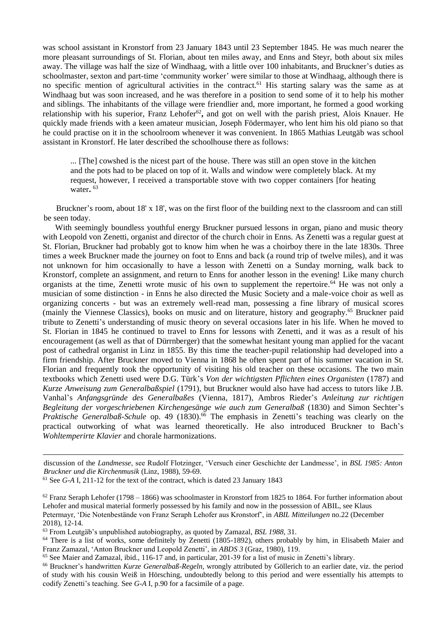was school assistant in Kronstorf from 23 January 1843 until 23 September 1845. He was much nearer the more pleasant surroundings of St. Florian, about ten miles away, and Enns and Steyr, both about six miles away. The village was half the size of Windhaag, with a little over 100 inhabitants, and Bruckner's duties as schoolmaster, sexton and part-time 'community worker' were similar to those at Windhaag, although there is no specific mention of agricultural activities in the contract.<sup>61</sup> His starting salary was the same as at Windhaag but was soon increased, and he was therefore in a position to send some of it to help his mother and siblings. The inhabitants of the village were friendlier and, more important, he formed a good working relationship with his superior, Franz Lehofer<sup>62</sup>, and got on well with the parish priest, Alois Knauer. He quickly made friends with a keen amateur musician, Joseph Födermayer, who lent him his old piano so that he could practise on it in the schoolroom whenever it was convenient. In 1865 Mathias Leutgäb was school assistant in Kronstorf. He later described the schoolhouse there as follows:

... [The] cowshed is the nicest part of the house. There was still an open stove in the kitchen and the pots had to be placed on top of it. Walls and window were completely black. At my request, however, I received a transportable stove with two copper containers [for heating water**.** 63

Bruckner's room, about 18' x 18', was on the first floor of the building next to the classroom and can still be seen today.

With seemingly boundless youthful energy Bruckner pursued lessons in organ, piano and music theory with Leopold von Zenetti, organist and director of the church choir in Enns. As Zenetti was a regular guest at St. Florian, Bruckner had probably got to know him when he was a choirboy there in the late 1830s. Three times a week Bruckner made the journey on foot to Enns and back (a round trip of twelve miles), and it was not unknown for him occasionally to have a lesson with Zenetti on a Sunday morning, walk back to Kronstorf, complete an assignment, and return to Enns for another lesson in the evening! Like many church organists at the time, Zenetti wrote music of his own to supplement the repertoire.<sup>64</sup> He was not only a musician of some distinction - in Enns he also directed the Music Society and a male-voice choir as well as organizing concerts - but was an extremely well-read man, possessing a fine library of musical scores (mainly the Viennese Classics), books on music and on literature, history and geography.<sup>65</sup> Bruckner paid tribute to Zenetti's understanding of music theory on several occasions later in his life. When he moved to St. Florian in 1845 he continued to travel to Enns for lessons with Zenetti, and it was as a result of his encouragement (as well as that of Dürrnberger) that the somewhat hesitant young man applied for the vacant post of cathedral organist in Linz in 1855. By this time the teacher-pupil relationship had developed into a firm friendship. After Bruckner moved to Vienna in 1868 he often spent part of his summer vacation in St. Florian and frequently took the opportunity of visiting his old teacher on these occasions. The two main textbooks which Zenetti used were D.G. Türk's *Von der wichtigsten Pflichten eines Organisten* (1787) and *Kurze Anweisung zum Generalbaßspiel* (1791), but Bruckner would also have had access to tutors like J.B. Vanhal's *Anfangsgründe des Generalbaßes* (Vienna, 1817), Ambros Rieder's *Anleitung zur richtigen Begleitung der vorgeschriebenen Kirchengesänge wie auch zum Generalbaß* (1830) and Simon Sechter's Praktische Generalbaß-Schule op. 49 (1830).<sup>66</sup> The emphasis in Zenetti's teaching was clearly on the practical outworking of what was learned theoretically. He also introduced Bruckner to Bach's *Wohltemperirte Klavier* and chorale harmonizations.

discussion of the *Landmesse*, see Rudolf Flotzinger, 'Versuch einer Geschichte der Landmesse', in *BSL 1985: Anton Bruckner und die Kirchenmusik* (Linz, 1988), 59-69.

<sup>61</sup> See *G-A* I, 211-12 for the text of the contract, which is dated 23 January 1843

 $62$  Franz Seraph Lehofer (1798 – 1866) was schoolmaster in Kronstorf from 1825 to 1864. For further information about Lehofer and musical material formerly possessed by his family and now in the possession of ABIL, see Klaus Petermayr, 'Die Notenbestände von Franz Seraph Lehofer aus Kronstorf', in *ABIL Mitteilungen* no.22 (December 2018), 12-14.

<sup>63</sup> From Leutgäb's unpublished autobiography, as quoted by Zamazal, *BSL 1988*, 31.

<sup>&</sup>lt;sup>64</sup> There is a list of works, some definitely by Zenetti (1805-1892), others probably by him, in Elisabeth Maier and Franz Zamazal, 'Anton Bruckner und Leopold Zenetti', in *ABDS 3* (Graz, 1980), 119.

<sup>65</sup> See Maier and Zamazal, ibid., 116-17 and, in particular, 201-39 for a list of music in Zenetti's library.

<sup>66</sup> Bruckner's handwritten *Kurze Generalbaß-Regeln*, wrongly attributed by Göllerich to an earlier date, viz. the period of study with his cousin Weiß in Hörsching, undoubtedly belong to this period and were essentially his attempts to codify Zenetti's teaching. See *G-A* I, p.90 for a facsimile of a page.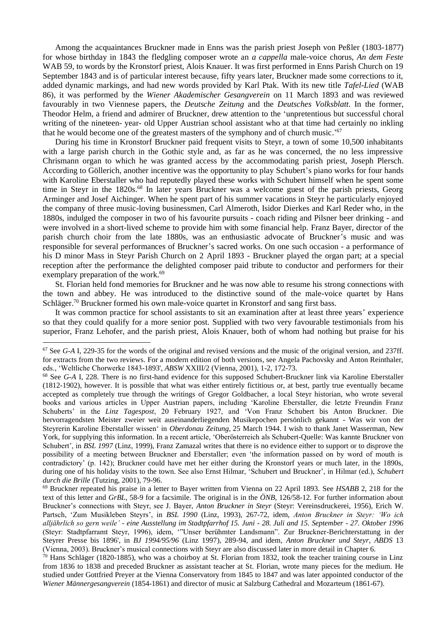Among the acquaintances Bruckner made in Enns was the parish priest Joseph von Peßler (1803-1877) for whose birthday in 1843 the fledgling composer wrote an *a cappella* male-voice chorus, *An dem Feste* WAB 59, to words by the Kronstorf priest, Alois Knauer. It was first performed in Enns Parish Church on 19 September 1843 and is of particular interest because, fifty years later, Bruckner made some corrections to it, added dynamic markings, and had new words provided by Karl Ptak. With its new title *Tafel-Lied* (WAB 86), it was performed by the *Wiener Akademischer Gesangverein* on 11 March 1893 and was reviewed favourably in two Viennese papers, the *Deutsche Zeitung* and the *Deutsches Volksblatt*. In the former, Theodor Helm, a friend and admirer of Bruckner, drew attention to the 'unpretentious but successful choral writing of the nineteen- year- old Upper Austrian school assistant who at that time had certainly no inkling that he would become one of the greatest masters of the symphony and of church music.'<sup>67</sup>

During his time in Kronstorf Bruckner paid frequent visits to Steyr, a town of some 10,500 inhabitants with a large parish church in the Gothic style and, as far as he was concerned, the no less impressive Chrismann organ to which he was granted access by the accommodating parish priest, Joseph Plersch. According to Göllerich, another incentive was the opportunity to play Schubert's piano works for four hands with Karoline Eberstaller who had reputedly played these works with Schubert himself when he spent some time in Steyr in the 1820s.<sup>68</sup> In later years Bruckner was a welcome guest of the parish priests, Georg Arminger and Josef Aichinger. When he spent part of his summer vacations in Steyr he particularly enjoyed the company of three music-loving businessmen, Carl Almeroth, Isidor Dierkes and Karl Reder who, in the 1880s, indulged the composer in two of his favourite pursuits - coach riding and Pilsner beer drinking - and were involved in a short-lived scheme to provide him with some financial help. Franz Bayer, director of the parish church choir from the late 1880s, was an enthusiastic advocate of Bruckner's music and was responsible for several performances of Bruckner's sacred works. On one such occasion - a performance of his D minor Mass in Steyr Parish Church on 2 April 1893 - Bruckner played the organ part; at a special reception after the performance the delighted composer paid tribute to conductor and performers for their exemplary preparation of the work.<sup>69</sup>

St. Florian held fond memories for Bruckner and he was now able to resume his strong connections with the town and abbey. He was introduced to the distinctive sound of the male-voice quartet by Hans Schläger.<sup>70</sup> Bruckner formed his own male-voice quartet in Kronstorf and sang first bass.

It was common practice for school assistants to sit an examination after at least three years' experience so that they could qualify for a more senior post. Supplied with two very favourable testimonials from his superior, Franz Lehofer, and the parish priest, Alois Knauer, both of whom had nothing but praise for his

<sup>67</sup> See *G-A* I, 229-35 for the words of the original and revised versions and the music of the original version, and 237ff. for extracts from the two reviews. For a modern edition of both versions, see Angela Pachovsky and Anton Reinthaler, eds., 'Weltliche Chorwerke 1843-1893', *ABSW* XXIII/2 (Vienna, 2001), 1-2, 172-73.

<sup>68</sup> See *G-A* I, 228. There is no first-hand evidence for this supposed Schubert-Bruckner link via Karoline Eberstaller (1812-1902), however. It is possible that what was either entirely fictitious or, at best, partly true eventually became accepted as completely true through the writings of Gregor Goldbacher, a local Steyr historian, who wrote several books and various articles in Upper Austrian papers, including 'Karoline Eberstaller, die letzte Freundin Franz Schuberts' in the *Linz Tagespost*, 20 February 1927, and 'Von Franz Schubert bis Anton Bruckner. Die hervorragendsten Meister zweier weit auseinanderliegenden Musikepochen persönlich gekannt - Was wir von der Steyrerin Karoline Eberstaller wissen' in *Oberdonau Zeitung*, 25 March 1944. I wish to thank Janet Wasserman, New York, for supplying this information. In a recent article, 'Oberösterreich als Schubert-Quelle: Was kannte Bruckner von Schubert', in *BSL 1997* (Linz, 1999), Franz Zamazal writes that there is no evidence either to support or to disprove the possibility of a meeting between Bruckner and Eberstaller; even 'the information passed on by word of mouth is contradictory' (p. 142); Bruckner could have met her either during the Kronstorf years or much later, in the 1890s, during one of his holiday visits to the town. See also Ernst Hilmar, 'Schubert und Bruckner', in Hilmar (ed.), *Schubert durch die Brille* (Tutzing, 2001), 79-96.

<sup>69</sup> Bruckner repeated his praise in a letter to Bayer written from Vienna on 22 April 1893. See *HSABB* 2, 218 for the text of this letter and *GrBL*, 58-9 for a facsimile. The original is in the *ÖNB*, 126/58-12. For further information about Bruckner's connections with Steyr, see J. Bayer, *Anton Bruckner in Steyr* (Steyr: Vereinsdruckerei, 1956), Erich W. Partsch, 'Zum Musikleben Steyrs', in *BSL 1990* (Linz, 1993), 267-72, idem, *Anton Bruckner in Steyr: 'Wo ich alljährlich so gern weile' - eine Ausstellung im Stadtpfarrhof 15. Juni - 28. Juli and 15. September - 27. Oktober 1996* (Steyr: Stadtpfarramt Steyr, 1996), idem, '"Unser berühmter Landsmann". Zur Bruckner-Berichterstattung in der Steyrer Presse bis 1896', in *BJ 1994/95/96* (Linz 1997), 289-94, and idem, *Anton Bruckner und Steyr*, *ABDS* 13 (Vienna, 2003). Bruckner's musical connections with Steyr are also discussed later in more detail in Chapter 6.

 $70$  Hans Schläger (1820-1885), who was a choirboy at St. Florian from 1832, took the teacher training course in Linz from 1836 to 1838 and preceded Bruckner as assistant teacher at St. Florian, wrote many pieces for the medium. He studied under Gottfried Preyer at the Vienna Conservatory from 1845 to 1847 and was later appointed conductor of the *Wiener Männergesangverein* (1854-1861) and director of music at Salzburg Cathedral and Mozarteum (1861-67).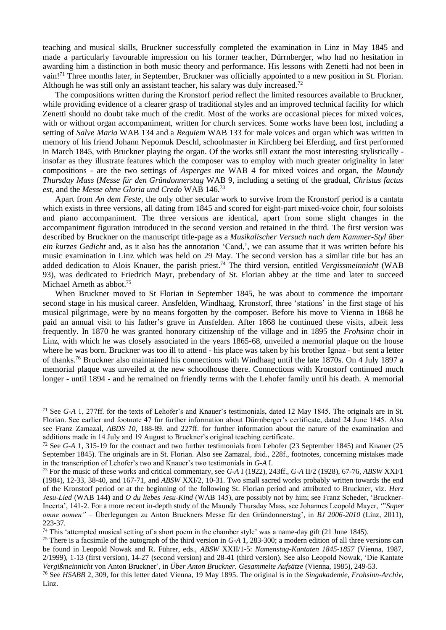teaching and musical skills, Bruckner successfully completed the examination in Linz in May 1845 and made a particularly favourable impression on his former teacher, Dürrnberger, who had no hesitation in awarding him a distinction in both music theory and performance. His lessons with Zenetti had not been in vain!<sup>71</sup> Three months later, in September, Bruckner was officially appointed to a new position in St. Florian. Although he was still only an assistant teacher, his salary was duly increased.<sup>72</sup>

The compositions written during the Kronstorf period reflect the limited resources available to Bruckner, while providing evidence of a clearer grasp of traditional styles and an improved technical facility for which Zenetti should no doubt take much of the credit. Most of the works are occasional pieces for mixed voices, with or without organ accompaniment, written for church services. Some works have been lost, including a setting of *Salve Maria* WAB 134 and a *Requiem* WAB 133 for male voices and organ which was written in memory of his friend Johann Nepomuk Deschl, schoolmaster in Kirchberg bei Eferding, and first performed in March 1845, with Bruckner playing the organ. Of the works still extant the most interesting stylistically insofar as they illustrate features which the composer was to employ with much greater originality in later compositions - are the two settings of *Asperges me* WAB 4 for mixed voices and organ, the *Maundy Thursday Mass* (*Messe für den Gründonnerstag* WAB 9, including a setting of the gradual, *Christus factus est*, and the *Messe ohne Gloria und Credo* WAB 146.<sup>73</sup>

Apart from *An dem Feste*, the only other secular work to survive from the Kronstorf period is a cantata which exists in three versions, all dating from 1845 and scored for eight-part mixed-voice choir, four soloists and piano accompaniment. The three versions are identical, apart from some slight changes in the accompaniment figuration introduced in the second version and retained in the third. The first version was described by Bruckner on the manuscript title-page as a *Musikalischer Versuch nach dem Kammer-Styl über ein kurzes Gedicht* and, as it also has the annotation 'Cand,', we can assume that it was written before his music examination in Linz which was held on 29 May. The second version has a similar title but has an added dedication to Alois Knauer, the parish priest.<sup>74</sup> The third version, entitled *Vergissmeinnicht* (WAB 93), was dedicated to Friedrich Mayr, prebendary of St. Florian abbey at the time and later to succeed Michael Arneth as abbot.<sup>75</sup>

When Bruckner moved to St Florian in September 1845, he was about to commence the important second stage in his musical career. Ansfelden, Windhaag, Kronstorf, three 'stations' in the first stage of his musical pilgrimage, were by no means forgotten by the composer. Before his move to Vienna in 1868 he paid an annual visit to his father's grave in Ansfelden. After 1868 he continued these visits, albeit less frequently. In 1870 he was granted honorary citizenship of the village and in 1895 the *Frohsinn* choir in Linz, with which he was closely associated in the years 1865-68, unveiled a memorial plaque on the house where he was born. Bruckner was too ill to attend - his place was taken by his brother Ignaz - but sent a letter of thanks.<sup>76</sup> Bruckner also maintained his connections with Windhaag until the late 1870s. On 4 July 1897 a memorial plaque was unveiled at the new schoolhouse there. Connections with Kronstorf continued much longer - until 1894 - and he remained on friendly terms with the Lehofer family until his death. A memorial

<sup>71</sup> See *G-A* 1, 277ff. for the texts of Lehofer's and Knauer's testimonials, dated 12 May 1845. The originals are in St. Florian. See earlier and footnote 47 for further information about Dürrnberger's certificate, dated 24 June 1845. Also see Franz Zamazal, *ABDS 10*, 188-89. and 227ff. for further information about the nature of the examination and additions made in 14 July and 19 August to Bruckner's original teaching certificate.

<sup>72</sup> See *G-A* 1, 315-19 for the contract and two further testimonials from Lehofer (23 September 1845) and Knauer (25 September 1845). The originals are in St. Florian. Also see Zamazal, ibid., 228f., footnotes, concerning mistakes made in the transcription of Lehofer's two and Knauer's two testimonials in *G-A* I.

<sup>73</sup> For the music of these works and critical commentary, see *G-A* I (1922), 243ff., *G-A* II/2 (1928), 67-76, *ABSW* XXI/1 (1984), 12-33, 38-40, and 167-71, and *ABSW* XXI/2, 10-31. Two small sacred works probably written towards the end of the Kronstorf period or at the beginning of the following St. Florian period and attributed to Bruckner, viz. *Herz Jesu-Lied* (WAB 144**)** and *O du liebes Jesu-Kind* (WAB 145), are possibly not by him; see Franz Scheder, 'Bruckner-Incerta', 141-2. For a more recent in-depth study of the Maundy Thursday Mass, see Johannes Leopold Mayer, '"*Super omne nomen"* – Überlegungen zu Anton Bruckners Messe für den Gründonnerstag', in *BJ 2006-2010* (Linz, 2011), 223-37.

<sup>&</sup>lt;sup>74</sup> This 'attempted musical setting of a short poem in the chamber style' was a name-day gift (21 June 1845).

<sup>75</sup> There is a facsimile of the autograph of the third version in *G-A* 1, 283-300; a modern edition of all three versions can be found in Leopold Nowak and R. Führer, eds., *ABSW* XXII/1-5: *Namenstag-Kantaten 1845-1857* (Vienna, 1987, 2/1999), 1-13 (first version), 14-27 (second version) and 28-41 (third version). See also Leopold Nowak, 'Die Kantate *Vergißmeinnicht* von Anton Bruckner', in *Über Anton Bruckner. Gesammelte Aufsätze* (Vienna, 1985), 249-53.

<sup>76</sup> See *HSABB* 2, 309, for this letter dated Vienna, 19 May 1895. The original is in the *Singakademie, Frohsinn-Archiv,*  Linz.